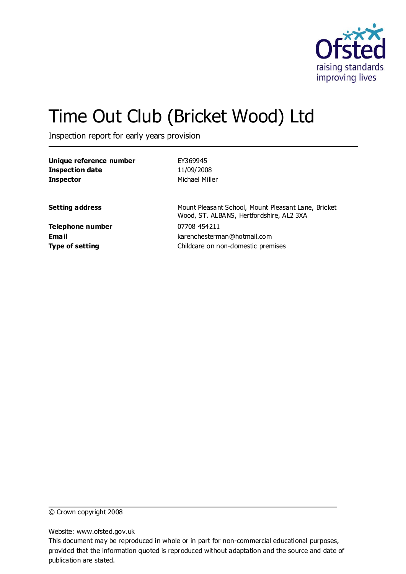

# Time Out Club (Bricket Wood) Ltd

Inspection report for early years provision

| Unique reference number | EY369945                                                                                        |
|-------------------------|-------------------------------------------------------------------------------------------------|
| <b>Inspection date</b>  | 11/09/2008                                                                                      |
| <b>Inspector</b>        | Michael Miller                                                                                  |
| <b>Setting address</b>  | Mount Pleasant School, Mount Pleasant Lane, Bricket<br>Wood, ST. ALBANS, Hertfordshire, AL2 3XA |
| <b>Telephone number</b> | 07708 454211                                                                                    |
| Email                   | karenchesterman@hotmail.com                                                                     |
| <b>Type of setting</b>  | Childcare on non-domestic premises                                                              |

© Crown copyright 2008

Website: www.ofsted.gov.uk

This document may be reproduced in whole or in part for non-commercial educational purposes, provided that the information quoted is reproduced without adaptation and the source and date of publication are stated.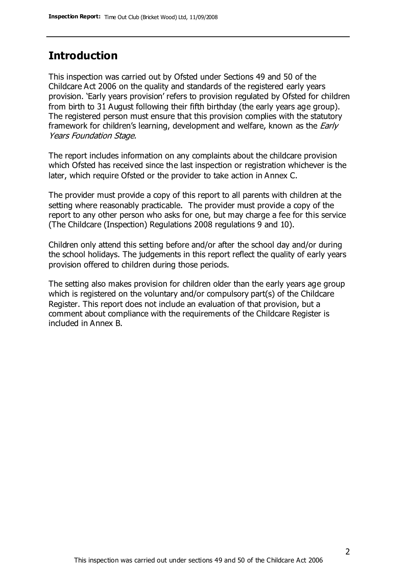## **Introduction**

This inspection was carried out by Ofsted under Sections 49 and 50 of the Childcare Act 2006 on the quality and standards of the registered early years provision. 'Early years provision' refers to provision regulated by Ofsted for children from birth to 31 August following their fifth birthday (the early years age group). The registered person must ensure that this provision complies with the statutory framework for children's learning, development and welfare, known as the *Early* Years Foundation Stage.

The report includes information on any complaints about the childcare provision which Ofsted has received since the last inspection or registration whichever is the later, which require Ofsted or the provider to take action in Annex C.

The provider must provide a copy of this report to all parents with children at the setting where reasonably practicable. The provider must provide a copy of the report to any other person who asks for one, but may charge a fee for this service (The Childcare (Inspection) Regulations 2008 regulations 9 and 10).

Children only attend this setting before and/or after the school day and/or during the school holidays. The judgements in this report reflect the quality of early years provision offered to children during those periods.

The setting also makes provision for children older than the early years age group which is registered on the voluntary and/or compulsory part(s) of the Childcare Register. This report does not include an evaluation of that provision, but a comment about compliance with the requirements of the Childcare Register is included in Annex B.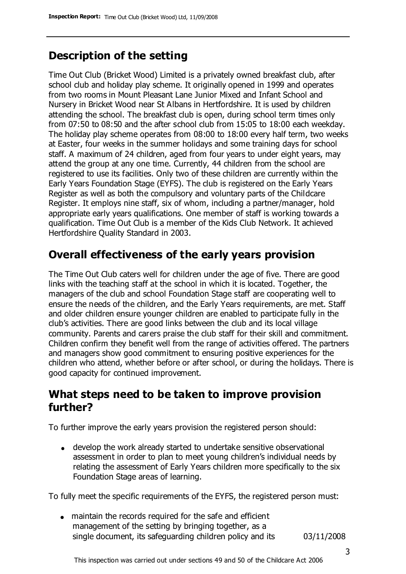# **Description of the setting**

Time Out Club (Bricket Wood) Limited is a privately owned breakfast club, after school club and holiday play scheme. It originally opened in 1999 and operates from two rooms in Mount Pleasant Lane Junior Mixed and Infant School and Nursery in Bricket Wood near St Albans in Hertfordshire. It is used by children attending the school. The breakfast club is open, during school term times only from 07:50 to 08:50 and the after school club from 15:05 to 18:00 each weekday. The holiday play scheme operates from 08:00 to 18:00 every half term, two weeks at Easter, four weeks in the summer holidays and some training days for school staff. A maximum of 24 children, aged from four years to under eight years, may attend the group at any one time. Currently, 44 children from the school are registered to use its facilities. Only two of these children are currently within the Early Years Foundation Stage (EYFS). The club is registered on the Early Years Register as well as both the compulsory and voluntary parts of the Childcare Register. It employs nine staff, six of whom, including a partner/manager, hold appropriate early years qualifications. One member of staff is working towards a qualification. Time Out Club is a member of the Kids Club Network. It achieved Hertfordshire Quality Standard in 2003.

### **Overall effectiveness of the early years provision**

The Time Out Club caters well for children under the age of five. There are good links with the teaching staff at the school in which it is located. Together, the managers of the club and school Foundation Stage staff are cooperating well to ensure the needs of the children, and the Early Years requirements, are met. Staff and older children ensure younger children are enabled to participate fully in the club's activities. There are good links between the club and its local village community. Parents and carers praise the club staff for their skill and commitment. Children confirm they benefit well from the range of activities offered. The partners and managers show good commitment to ensuring positive experiences for the children who attend, whether before or after school, or during the holidays. There is good capacity for continued improvement.

### **What steps need to be taken to improve provision further?**

To further improve the early years provision the registered person should:

develop the work already started to undertake sensitive observational assessment in order to plan to meet young children's individual needs by relating the assessment of Early Years children more specifically to the six Foundation Stage areas of learning.

To fully meet the specific requirements of the EYFS, the registered person must:

maintain the records required for the safe and efficient management of the setting by bringing together, as a single document, its safeguarding children policy and its 03/11/2008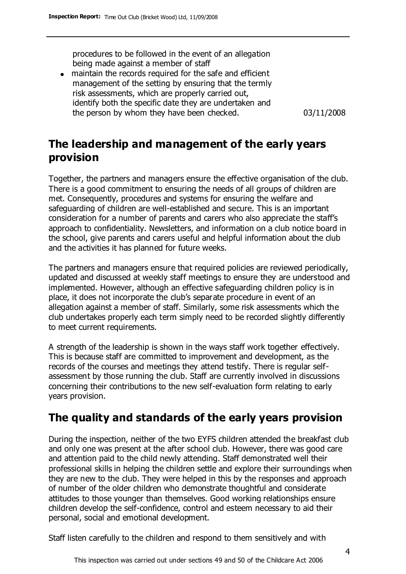procedures to be followed in the event of an allegation being made against a member of staff

maintain the records required for the safe and efficient management of the setting by ensuring that the termly risk assessments, which are properly carried out, identify both the specific date they are undertaken and the person by whom they have been checked. 03/11/2008

# **The leadership and management of the early years provision**

Together, the partners and managers ensure the effective organisation of the club. There is a good commitment to ensuring the needs of all groups of children are met. Consequently, procedures and systems for ensuring the welfare and safeguarding of children are well-established and secure. This is an important consideration for a number of parents and carers who also appreciate the staff's approach to confidentiality. Newsletters, and information on a club notice board in the school, give parents and carers useful and helpful information about the club and the activities it has planned for future weeks.

The partners and managers ensure that required policies are reviewed periodically, updated and discussed at weekly staff meetings to ensure they are understood and implemented. However, although an effective safeguarding children policy is in place, it does not incorporate the club's separate procedure in event of an allegation against a member of staff. Similarly, some risk assessments which the club undertakes properly each term simply need to be recorded slightly differently to meet current requirements.

A strength of the leadership is shown in the ways staff work together effectively. This is because staff are committed to improvement and development, as the records of the courses and meetings they attend testify. There is regular selfassessment by those running the club. Staff are currently involved in discussions concerning their contributions to the new self-evaluation form relating to early years provision.

### **The quality and standards of the early years provision**

During the inspection, neither of the two EYFS children attended the breakfast club and only one was present at the after school club. However, there was good care and attention paid to the child newly attending. Staff demonstrated well their professional skills in helping the children settle and explore their surroundings when they are new to the club. They were helped in this by the responses and approach of number of the older children who demonstrate thoughtful and considerate attitudes to those younger than themselves. Good working relationships ensure children develop the self-confidence, control and esteem necessary to aid their personal, social and emotional development.

Staff listen carefully to the children and respond to them sensitively and with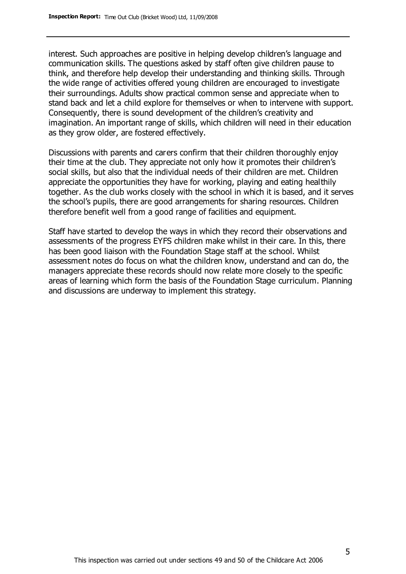interest. Such approaches are positive in helping develop children's language and communication skills. The questions asked by staff often give children pause to think, and therefore help develop their understanding and thinking skills. Through the wide range of activities offered young children are encouraged to investigate their surroundings. Adults show practical common sense and appreciate when to stand back and let a child explore for themselves or when to intervene with support. Consequently, there is sound development of the children's creativity and imagination. An important range of skills, which children will need in their education as they grow older, are fostered effectively.

Discussions with parents and carers confirm that their children thoroughly enjoy their time at the club. They appreciate not only how it promotes their children's social skills, but also that the individual needs of their children are met. Children appreciate the opportunities they have for working, playing and eating healthily together. As the club works closely with the school in which it is based, and it serves the school's pupils, there are good arrangements for sharing resources. Children therefore benefit well from a good range of facilities and equipment.

Staff have started to develop the ways in which they record their observations and assessments of the progress EYFS children make whilst in their care. In this, there has been good liaison with the Foundation Stage staff at the school. Whilst assessment notes do focus on what the children know, understand and can do, the managers appreciate these records should now relate more closely to the specific areas of learning which form the basis of the Foundation Stage curriculum. Planning and discussions are underway to implement this strategy.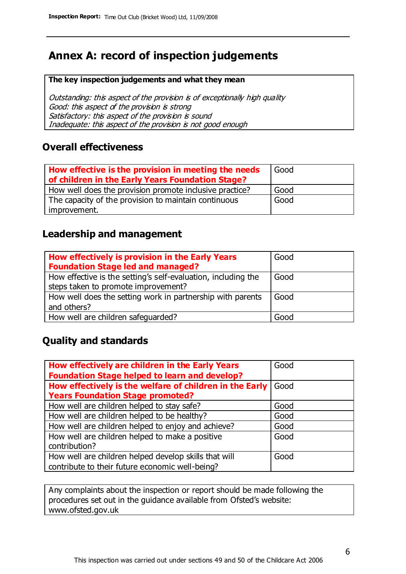# **Annex A: record of inspection judgements**

#### **The key inspection judgements and what they mean**

Outstanding: this aspect of the provision is of exceptionally high quality Good: this aspect of the provision is strong Satisfactory: this aspect of the provision is sound Inadequate: this aspect of the provision is not good enough

### **Overall effectiveness**

| How effective is the provision in meeting the needs<br>of children in the Early Years Foundation Stage? | Good |
|---------------------------------------------------------------------------------------------------------|------|
| How well does the provision promote inclusive practice?                                                 | Good |
| The capacity of the provision to maintain continuous                                                    | Good |
| improvement.                                                                                            |      |

### **Leadership and management**

| How effectively is provision in the Early Years<br><b>Foundation Stage led and managed?</b>          | Good |
|------------------------------------------------------------------------------------------------------|------|
| How effective is the setting's self-evaluation, including the<br>steps taken to promote improvement? | Good |
| How well does the setting work in partnership with parents<br>and others?                            | Good |
| How well are children safeguarded?                                                                   | Good |

### **Quality and standards**

| How effectively are children in the Early Years         | Good |
|---------------------------------------------------------|------|
| <b>Foundation Stage helped to learn and develop?</b>    |      |
| How effectively is the welfare of children in the Early | Good |
| <b>Years Foundation Stage promoted?</b>                 |      |
| How well are children helped to stay safe?              | Good |
| How well are children helped to be healthy?             | Good |
| How well are children helped to enjoy and achieve?      | Good |
| How well are children helped to make a positive         | Good |
| contribution?                                           |      |
| How well are children helped develop skills that will   | Good |
| contribute to their future economic well-being?         |      |

Any complaints about the inspection or report should be made following the procedures set out in the guidance available from Ofsted's website: www.ofsted.gov.uk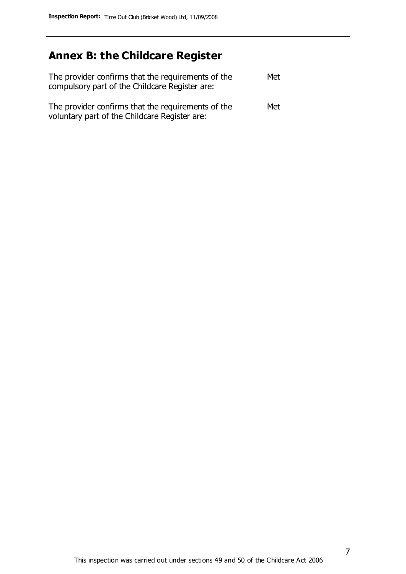# **Annex B: the Childcare Register**

| The provider confirms that the requirements of the<br>compulsory part of the Childcare Register are: | Met |
|------------------------------------------------------------------------------------------------------|-----|
| The provider confirms that the requirements of the<br>voluntary part of the Childcare Register are:  | Met |